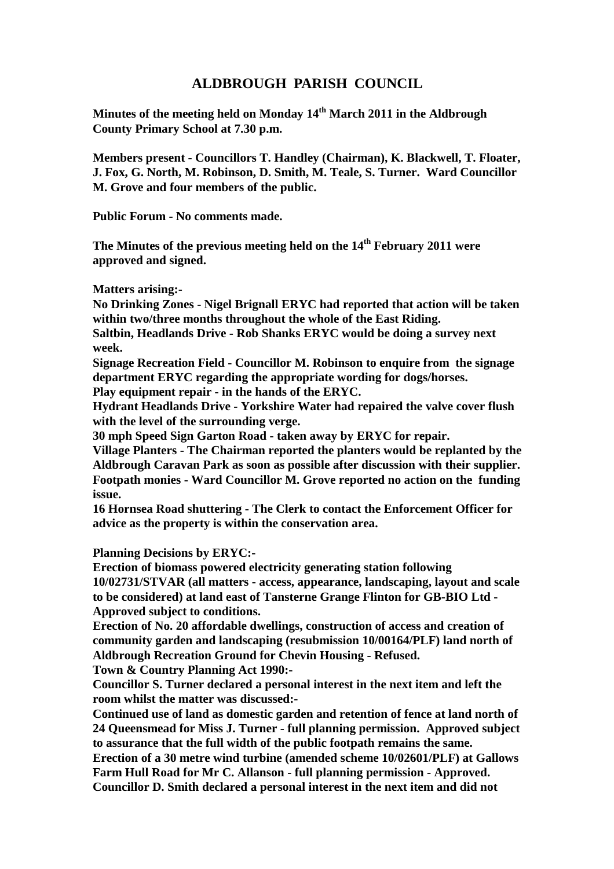## **ALDBROUGH PARISH COUNCIL**

**Minutes of the meeting held on Monday 14th March 2011 in the Aldbrough County Primary School at 7.30 p.m.**

**Members present - Councillors T. Handley (Chairman), K. Blackwell, T. Floater, J. Fox, G. North, M. Robinson, D. Smith, M. Teale, S. Turner. Ward Councillor M. Grove and four members of the public.**

**Public Forum - No comments made.**

**The Minutes of the previous meeting held on the 14th February 2011 were approved and signed.**

**Matters arising:-**

**No Drinking Zones - Nigel Brignall ERYC had reported that action will be taken within two/three months throughout the whole of the East Riding.**

**Saltbin, Headlands Drive - Rob Shanks ERYC would be doing a survey next week.**

**Signage Recreation Field - Councillor M. Robinson to enquire from the signage department ERYC regarding the appropriate wording for dogs/horses. Play equipment repair - in the hands of the ERYC.**

**Hydrant Headlands Drive - Yorkshire Water had repaired the valve cover flush with the level of the surrounding verge.**

**30 mph Speed Sign Garton Road - taken away by ERYC for repair.**

**Village Planters - The Chairman reported the planters would be replanted by the Aldbrough Caravan Park as soon as possible after discussion with their supplier. Footpath monies - Ward Councillor M. Grove reported no action on the funding issue.**

**16 Hornsea Road shuttering - The Clerk to contact the Enforcement Officer for advice as the property is within the conservation area.**

**Planning Decisions by ERYC:-**

**Erection of biomass powered electricity generating station following 10/02731/STVAR (all matters - access, appearance, landscaping, layout and scale to be considered) at land east of Tansterne Grange Flinton for GB-BIO Ltd - Approved subject to conditions.**

**Erection of No. 20 affordable dwellings, construction of access and creation of community garden and landscaping (resubmission 10/00164/PLF) land north of Aldbrough Recreation Ground for Chevin Housing - Refused.**

**Town & Country Planning Act 1990:-**

**Councillor S. Turner declared a personal interest in the next item and left the room whilst the matter was discussed:-**

**Continued use of land as domestic garden and retention of fence at land north of 24 Queensmead for Miss J. Turner - full planning permission. Approved subject to assurance that the full width of the public footpath remains the same. Erection of a 30 metre wind turbine (amended scheme 10/02601/PLF) at Gallows Farm Hull Road for Mr C. Allanson - full planning permission - Approved. Councillor D. Smith declared a personal interest in the next item and did not**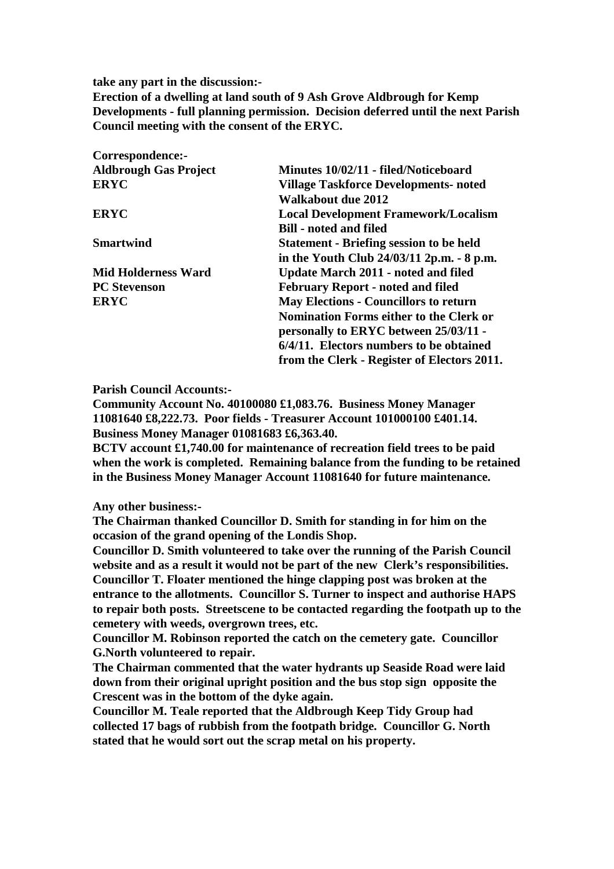**take any part in the discussion:-**

**Erection of a dwelling at land south of 9 Ash Grove Aldbrough for Kemp Developments - full planning permission. Decision deferred until the next Parish Council meeting with the consent of the ERYC.**

| Minutes 10/02/11 - filed/Noticeboard           |
|------------------------------------------------|
| <b>Village Taskforce Developments- noted</b>   |
| <b>Walkabout due 2012</b>                      |
| <b>Local Development Framework/Localism</b>    |
| <b>Bill - noted and filed</b>                  |
| <b>Statement - Briefing session to be held</b> |
| in the Youth Club 24/03/11 2p.m. - 8 p.m.      |
| <b>Update March 2011 - noted and filed</b>     |
| <b>February Report - noted and filed</b>       |
| <b>May Elections - Councillors to return</b>   |
| <b>Nomination Forms either to the Clerk or</b> |
| personally to ERYC between 25/03/11 -          |
| 6/4/11. Electors numbers to be obtained        |
| from the Clerk - Register of Electors 2011.    |
|                                                |

**Parish Council Accounts:-**

**Community Account No. 40100080 £1,083.76. Business Money Manager 11081640 £8,222.73. Poor fields - Treasurer Account 101000100 £401.14. Business Money Manager 01081683 £6,363.40.**

**BCTV account £1,740.00 for maintenance of recreation field trees to be paid when the work is completed. Remaining balance from the funding to be retained in the Business Money Manager Account 11081640 for future maintenance.**

**Any other business:-**

**The Chairman thanked Councillor D. Smith for standing in for him on the occasion of the grand opening of the Londis Shop.**

**Councillor D. Smith volunteered to take over the running of the Parish Council website and as a result it would not be part of the new Clerk's responsibilities. Councillor T. Floater mentioned the hinge clapping post was broken at the entrance to the allotments. Councillor S. Turner to inspect and authorise HAPS to repair both posts. Streetscene to be contacted regarding the footpath up to the cemetery with weeds, overgrown trees, etc.**

**Councillor M. Robinson reported the catch on the cemetery gate. Councillor G.North volunteered to repair.**

**The Chairman commented that the water hydrants up Seaside Road were laid down from their original upright position and the bus stop sign opposite the Crescent was in the bottom of the dyke again.**

**Councillor M. Teale reported that the Aldbrough Keep Tidy Group had collected 17 bags of rubbish from the footpath bridge. Councillor G. North stated that he would sort out the scrap metal on his property.**